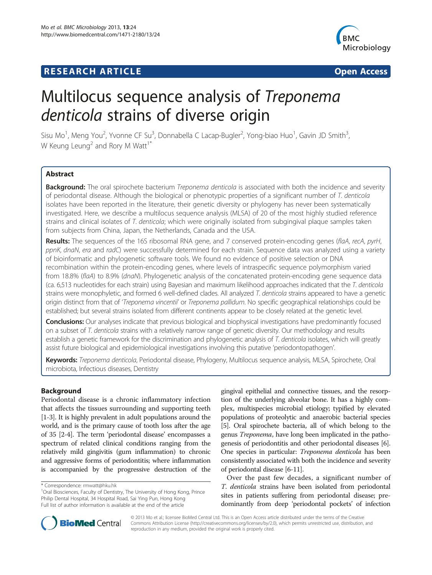## **RESEARCH ARTICLE Example 2014 CONSIDERING A RESEARCH ARTICLE**



# Multilocus sequence analysis of Treponema denticola strains of diverse origin

Sisu Mo<sup>1</sup>, Meng You<sup>2</sup>, Yvonne CF Su<sup>3</sup>, Donnabella C Lacap-Bugler<sup>2</sup>, Yong-biao Huo<sup>1</sup>, Gavin JD Smith<sup>3</sup> , W Keung Leung<sup>2</sup> and Rory M Watt<sup>1\*</sup>

## **Abstract**

Background: The oral spirochete bacterium Treponema denticola is associated with both the incidence and severity of periodontal disease. Although the biological or phenotypic properties of a significant number of T. denticola isolates have been reported in the literature, their genetic diversity or phylogeny has never been systematically investigated. Here, we describe a multilocus sequence analysis (MLSA) of 20 of the most highly studied reference strains and clinical isolates of T. denticola; which were originally isolated from subgingival plaque samples taken from subjects from China, Japan, the Netherlands, Canada and the USA.

Results: The sequences of the 16S ribosomal RNA gene, and 7 conserved protein-encoding genes (flaA, recA, pyrH, ppnK, dnaN, era and radC) were successfully determined for each strain. Sequence data was analyzed using a variety of bioinformatic and phylogenetic software tools. We found no evidence of positive selection or DNA recombination within the protein-encoding genes, where levels of intraspecific sequence polymorphism varied from 18.8% (flaA) to 8.9% (dnaN). Phylogenetic analysis of the concatenated protein-encoding gene sequence data (ca. 6,513 nucleotides for each strain) using Bayesian and maximum likelihood approaches indicated that the T. denticola strains were monophyletic, and formed 6 well-defined clades. All analyzed T. denticola strains appeared to have a genetic origin distinct from that of 'Treponema vincentii' or Treponema pallidum. No specific geographical relationships could be established; but several strains isolated from different continents appear to be closely related at the genetic level.

Conclusions: Our analyses indicate that previous biological and biophysical investigations have predominantly focused on a subset of T. denticola strains with a relatively narrow range of genetic diversity. Our methodology and results establish a genetic framework for the discrimination and phylogenetic analysis of T. denticola isolates, which will greatly assist future biological and epidemiological investigations involving this putative 'periodontopathogen'.

Keywords: Treponema denticola, Periodontal disease, Phylogeny, Multilocus sequence analysis, MLSA, Spirochete, Oral microbiota, Infectious diseases, Dentistry

## Background

Periodontal disease is a chronic inflammatory infection that affects the tissues surrounding and supporting teeth [[1-3\]](#page-10-0). It is highly prevalent in adult populations around the world, and is the primary cause of tooth loss after the age of 35 [\[2-4](#page-10-0)]. The term 'periodontal disease' encompasses a spectrum of related clinical conditions ranging from the relatively mild gingivitis (gum inflammation) to chronic and aggressive forms of periodontitis; where inflammation is accompanied by the progressive destruction of the

gingival epithelial and connective tissues, and the resorption of the underlying alveolar bone. It has a highly complex, multispecies microbial etiology; typified by elevated populations of proteolytic and anaerobic bacterial species [[5](#page-11-0)]. Oral spirochete bacteria, all of which belong to the genus Treponema, have long been implicated in the pathogenesis of periodontitis and other periodontal diseases [[6](#page-11-0)]. One species in particular: Treponema denticola has been consistently associated with both the incidence and severity of periodontal disease [\[6-11\]](#page-11-0).

Over the past few decades, a significant number of T. denticola strains have been isolated from periodontal sites in patients suffering from periodontal disease; predominantly from deep 'periodontal pockets' of infection



© 2013 Mo et al.; licensee BioMed Central Ltd. This is an Open Access article distributed under the terms of the Creative Commons Attribution License [\(http://creativecommons.org/licenses/by/2.0\)](http://creativecommons.org/licenses/by/2.0), which permits unrestricted use, distribution, and reproduction in any medium, provided the original work is properly cited.

<sup>\*</sup> Correspondence: [rmwatt@hku.hk](mailto:rmwatt@hku.hk) <sup>1</sup>

<sup>&</sup>lt;sup>1</sup>Oral Biosciences, Faculty of Dentistry, The University of Hong Kong, Prince Philip Dental Hospital, 34 Hospital Road, Sai Ying Pun, Hong Kong Full list of author information is available at the end of the article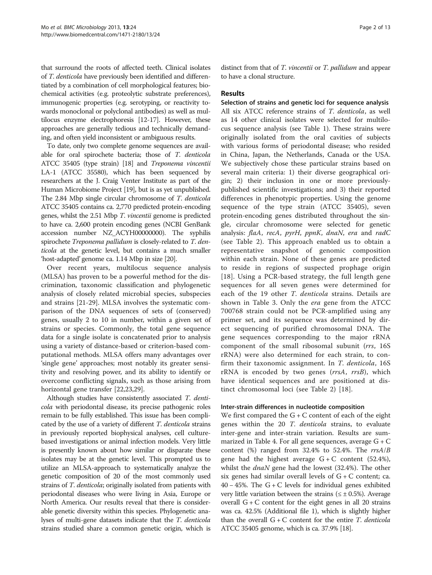that surround the roots of affected teeth. Clinical isolates of T. denticola have previously been identified and differentiated by a combination of cell morphological features; biochemical activities (e.g. proteolytic substrate preferences), immunogenic properties (e.g. serotyping, or reactivity towards monoclonal or polyclonal antibodies) as well as multilocus enzyme electrophoresis [\[12-17\]](#page-11-0). However, these approaches are generally tedious and technically demanding, and often yield inconsistent or ambiguous results.

To date, only two complete genome sequences are available for oral spirochete bacteria; those of T. denticola ATCC 35405 (type strain) [[18](#page-11-0)] and Treponema vincentii LA-1 (ATCC 35580), which has been sequenced by researchers at the J. Craig Venter Institute as part of the Human Microbiome Project [[19](#page-11-0)], but is as yet unpublished. The 2.84 Mbp single circular chromosome of T. denticola ATCC 35405 contains ca. 2,770 predicted protein-encoding genes, whilst the 2.51 Mbp T. vincentii genome is predicted to have ca. 2,600 protein encoding genes (NCBI GenBank accession number NZ\_ACYH00000000). The syphilis spirochete Treponema pallidum is closely-related to T. denticola at the genetic level, but contains a much smaller 'host-adapted' genome ca. 1.14 Mbp in size [[20](#page-11-0)].

Over recent years, multilocus sequence analysis (MLSA) has proven to be a powerful method for the discrimination, taxonomic classification and phylogenetic analysis of closely related microbial species, subspecies and strains [[21-29\]](#page-11-0). MLSA involves the systematic comparison of the DNA sequences of sets of (conserved) genes, usually 2 to 10 in number, within a given set of strains or species. Commonly, the total gene sequence data for a single isolate is concatenated prior to analysis using a variety of distance-based or criterion-based computational methods. MLSA offers many advantages over 'single gene' approaches; most notably its greater sensitivity and resolving power, and its ability to identify or overcome conflicting signals, such as those arising from horizontal gene transfer [[22](#page-11-0),[23](#page-11-0),[29](#page-11-0)].

Although studies have consistently associated T. denticola with periodontal disease, its precise pathogenic roles remain to be fully established. This issue has been complicated by the use of a variety of different *T. denticola* strains in previously reported biophysical analyses, cell culturebased investigations or animal infection models. Very little is presently known about how similar or disparate these isolates may be at the genetic level. This prompted us to utilize an MLSA-approach to systematically analyze the genetic composition of 20 of the most commonly used strains of T. denticola; originally isolated from patients with periodontal diseases who were living in Asia, Europe or North America. Our results reveal that there is considerable genetic diversity within this species. Phylogenetic analyses of multi-gene datasets indicate that the T. denticola strains studied share a common genetic origin, which is distinct from that of T. vincentii or T. pallidum and appear to have a clonal structure.

#### Results

Selection of strains and genetic loci for sequence analysis All six ATCC reference strains of T. denticola, as well as 14 other clinical isolates were selected for multilocus sequence analysis (see Table [1](#page-2-0)). These strains were originally isolated from the oral cavities of subjects with various forms of periodontal disease; who resided in China, Japan, the Netherlands, Canada or the USA. We subjectively chose these particular strains based on several main criteria: 1) their diverse geographical origin; 2) their inclusion in one or more previouslypublished scientific investigations; and 3) their reported differences in phenotypic properties. Using the genome sequence of the type strain (ATCC 35405), seven protein-encoding genes distributed throughout the single, circular chromosome were selected for genetic analysis: flaA, recA, pyrH, ppnK, dnaN, era and radC (see Table [2\)](#page-2-0). This approach enabled us to obtain a representative snapshot of genomic composition within each strain. None of these genes are predicted to reside in regions of suspected prophage origin [[18](#page-11-0)]. Using a PCR-based strategy, the full length gene sequences for all seven genes were determined for each of the 19 other T. denticola strains. Details are shown in Table [3](#page-3-0). Only the era gene from the ATCC 700768 strain could not be PCR-amplified using any primer set, and its sequence was determined by direct sequencing of purified chromosomal DNA. The gene sequences corresponding to the major rRNA component of the small ribosomal subunit (rrs, 16S rRNA) were also determined for each strain, to confirm their taxonomic assignment. In T. denticola, 16S rRNA is encoded by two genes (rrsA, rrsB), which have identical sequences and are positioned at distinct chromosomal loci (see Table [2](#page-2-0)) [[18\]](#page-11-0).

#### Inter-strain differences in nucleotide composition

We first compared the  $G + C$  content of each of the eight genes within the 20 T. denticola strains, to evaluate inter-gene and inter-strain variation. Results are summarized in Table [4.](#page-3-0) For all gene sequences, average G + C content (%) ranged from 32.4% to 52.4%. The  $rrsA/B$ gene had the highest average  $G + C$  content (52.4%), whilst the *dnaN* gene had the lowest (32.4%). The other six genes had similar overall levels of  $G + C$  content; ca. 40 − 45%. The G + C levels for individual genes exhibited very little variation between the strains ( $\leq \pm 0.5$ %). Average overall  $G + C$  content for the eight genes in all 20 strains was ca. 42.5% (Additional file [1](#page-10-0)), which is slightly higher than the overall  $G + C$  content for the entire *T. denticola* ATCC 35405 genome, which is ca. 37.9% [\[18](#page-11-0)].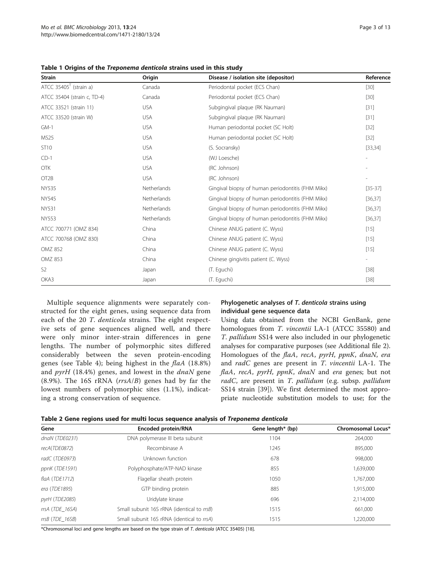<span id="page-2-0"></span>

|  |  |  |  | Table 1 Origins of the Treponema denticola strains used in this study |
|--|--|--|--|-----------------------------------------------------------------------|
|--|--|--|--|-----------------------------------------------------------------------|

| <b>Strain</b>                        | Origin      | Disease / isolation site (depositor)              | Reference |
|--------------------------------------|-------------|---------------------------------------------------|-----------|
| ATCC $35405$ <sup>T</sup> (strain a) | Canada      | Periodontal pocket (ECS Chan)                     | $[30]$    |
| ATCC 35404 (strain c, TD-4)          | Canada      | Periodontal pocket (ECS Chan)                     | $[30]$    |
| ATCC 33521 (strain 11)               | <b>USA</b>  | Subgingival plaque (RK Nauman)                    | $[31]$    |
| ATCC 33520 (strain W)                | <b>USA</b>  | Subgingival plague (RK Nauman)                    | $[31]$    |
| $GM-1$                               | <b>USA</b>  | Human periodontal pocket (SC Holt)                | $[32]$    |
| <b>MS25</b>                          | <b>USA</b>  | Human periodontal pocket (SC Holt)                | $[32]$    |
| ST10                                 | <b>USA</b>  | (S. Socransky)                                    | [33, 34]  |
| $CD-1$                               | <b>USA</b>  | (WJ Loesche)                                      |           |
| <b>OTK</b>                           | <b>USA</b>  | (RC Johnson)                                      |           |
| OT <sub>2</sub> B                    | <b>USA</b>  | (RC Johnson)                                      |           |
| <b>NY535</b>                         | Netherlands | Gingival biopsy of human periodontitis (FHM Mikx) | $[35-37]$ |
| NY545                                | Netherlands | Gingival biopsy of human periodontitis (FHM Mikx) | [36, 37]  |
| <b>NY531</b>                         | Netherlands | Gingival biopsy of human periodontitis (FHM Mikx) | [36, 37]  |
| <b>NY553</b>                         | Netherlands | Gingival biopsy of human periodontitis (FHM Mikx) | [36, 37]  |
| ATCC 700771 (OMZ 834)                | China       | Chinese ANUG patient (C. Wyss)                    | $[15]$    |
| ATCC 700768 (OMZ 830)                | China       | Chinese ANUG patient (C. Wyss)                    | $[15]$    |
| <b>OMZ 852</b>                       | China       | Chinese ANUG patient (C. Wyss)                    | $[15]$    |
| <b>OMZ 853</b>                       | China       | Chinese gingivitis patient (C. Wyss)              |           |
| S <sub>2</sub>                       | Japan       | (T. Eguchi)                                       | $[38]$    |
| OKA3                                 | Japan       | (T. Eguchi)                                       | $[38]$    |

Multiple sequence alignments were separately constructed for the eight genes, using sequence data from each of the 20 T. denticola strains. The eight respective sets of gene sequences aligned well, and there were only minor inter-strain differences in gene lengths. The number of polymorphic sites differed considerably between the seven protein-encoding genes (see Table [4](#page-3-0)); being highest in the flaA (18.8%) and  $pyrH$  (18.4%) genes, and lowest in the  $dnaN$  gene  $(8.9\%)$ . The 16S rRNA ( $rrsA/B$ ) genes had by far the lowest numbers of polymorphic sites (1.1%), indicating a strong conservation of sequence.

#### Phylogenetic analyses of T. denticola strains using individual gene sequence data

Using data obtained from the NCBI GenBank, gene homologues from T. vincentii LA-1 (ATCC 35580) and T. pallidum SS14 were also included in our phylogenetic analyses for comparative purposes (see Additional file [2](#page-10-0)). Homologues of the flaA, recA, pyrH, ppnK, dnaN, era and radC genes are present in T. vincentii LA-1. The flaA, recA, pyrH, ppnK, dnaN and era genes; but not radC, are present in T. pallidum (e.g. subsp. pallidum SS14 strain [[39\]](#page-11-0)). We first determined the most appropriate nucleotide substitution models to use; for the

|  | Table 2 Gene regions used for multi locus sequence analysis of Treponema denticola |
|--|------------------------------------------------------------------------------------|
|--|------------------------------------------------------------------------------------|

| Gene              | Encoded protein/RNA                        | Gene length* (bp) | Chromosomal Locus* |
|-------------------|--------------------------------------------|-------------------|--------------------|
| dnaN (TDE0231)    | DNA polymerase III beta subunit            | 1104              | 264,000            |
| recA(TDE0872)     | Recombinase A                              | 1245              | 895,000            |
| radC (TDE0973)    | Unknown function                           | 678               | 998,000            |
| ppnK (TDE1591)    | Polyphosphate/ATP-NAD kinase               | 855               | 1,639,000          |
| flaA $(TDE1712)$  | Flagellar sheath protein                   | 1050              | 1,767,000          |
| era (TDE1895)     | GTP binding protein                        | 885               | 1,915,000          |
| pyrH (TDE2085)    | Uridylate kinase                           | 696               | 2,114,000          |
| rrsA (TDE_16SA)   | Small subunit 16S rRNA (identical to rrsB) | 1515              | 661,000            |
| $rrsB$ (TDE 16SB) | Small subunit 16S rRNA (identical to rrsA) | 1515              | 1.220.000          |

\*Chromosomal loci and gene lengths are based on the type strain of T. denticola (ATCC 35405) [\[18](#page-11-0)].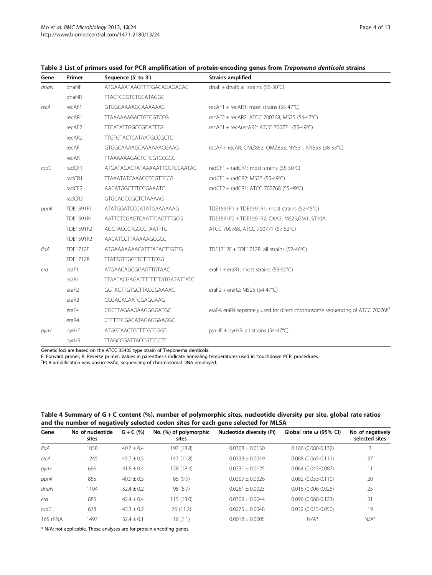| Gene | Primer          | Sequence $(5'$ to $3')$               | <b>Strains amplified</b>                                                                  |
|------|-----------------|---------------------------------------|-------------------------------------------------------------------------------------------|
| dnaN | dnaNF           | ATGAAAATAAGTTTTGACAGAGACAC            | dnaF + dnaR: all strains $(55-50^{\circ}C)$                                               |
|      | dnaNR           | <b>TTACTCCGTCTGCATAGGC</b>            |                                                                                           |
| recA | recAF1          | GTGGCAAAAGCAAAAAAC                    | recAF1 + recAR1: most strains (55-47°C)                                                   |
|      | recAR1          | <b>TTAAAAAAGACTGTCGTCCG</b>           | recAF2 + recAR2: ATCC 700768, MS25 (54-47°C)                                              |
|      | recAF2          | <b>TTCATATTGGCCGCATTTG</b>            | recAF1 + recArecAR2: ATCC 700771 (55-49°C)                                                |
|      | recAR2          | <b>TTGTGTACTCATAATGCCGCTC</b>         |                                                                                           |
|      | recAF           | GTGGCAAAAGCAAAAAACGAAG                | recAF + recAR: OMZ852, OMZ853, NY531, NY553 (58-53°C)                                     |
|      | recAR           | <b>TTAAAAAAGACTGTCGTCCGCC</b>         |                                                                                           |
| radC | radCF1          | ATGATAGACTATAAAAATTCGTCCAATAC         | radCF1 + radCR1: most strains (55-50°C)                                                   |
|      | radCR1          | <b>TTAAATATCAAACCTCGTTCCG</b>         | radCF1 + radCR2: MS25 (55-49°C)                                                           |
|      | radCF2          | AACATGGCTTTCCGAAATC                   | radCF2 + radCR1: ATCC 700768 (55-49°C)                                                    |
|      | radCR2          | GTGCAGCGGCTCTAAAAG                    |                                                                                           |
| ppnK | TDE1591F1       | ATATGGATCCCATATGAAAAAAG               | TDE1591F1 + TDE1591R1: most strains (52-45°C)                                             |
|      | TDE1591R1       | AATTCTCGAGTCAATTCAGTTTGGG             | TDE1591F2 + TDE1591R2: OKA3, MS25,GM1, ST10A,                                             |
|      | TDE1591F2       | <b>AGCTACCCTGCCCTAATTTC</b>           | ATCC 700768, ATCC 700771 (57-52°C)                                                        |
|      | TDE1591R2       | AACATCCTTAAAAAGCGGC                   |                                                                                           |
| flaA | <b>TDE1712F</b> | <b>ATGAAAAAAACATTTATACTTGTTG</b>      | TDE1712F + TDE1712R: all strains (52-46°C)                                                |
|      | <b>TDE1712R</b> | <b>TTATTGTTGGTTCTTTTCGG</b>           |                                                                                           |
| era  | eraF1           | ATGAACAGCGGAGTTGTAAC                  | eraF1 + eraR1: most strains (55-50°C)                                                     |
|      | eraR1           | <b>TTAATACGAGATTTTTTTTATGATATTATC</b> |                                                                                           |
|      | eraF2           | <b>GGTACTTGTGCTTACCGAAAAC</b>         | eraF2 + eraR2: MS25 (54-47°C)                                                             |
|      | eraR2           | CCGACACAATCGAGGAAG                    |                                                                                           |
|      | eraF4           | CGCTTAGAAGAAGGGGATGC                  | eraF4, eraR4 separately used for direct chromosome sequencing of ATCC 700768 <sup>†</sup> |
|      | eraR4           | CTTTTTCGACATAGAGGAAGGC                |                                                                                           |
| pyrH | pyrHF           | ATGGTAACTGTTTTGTCGGT                  | pyrHF + pyrHR: all strains (54-47°C)                                                      |
|      | pyrHR           | <b>TTAGCCGATTACCGTTCCTT</b>           |                                                                                           |

## <span id="page-3-0"></span>Table 3 List of primers used for PCR amplification of protein-encoding genes from Treponema denticola strains

Genetic loci are based on the ATCC 35405 type strain of Treponema denticola.

F: Forward primer; R: Reverse primer. Values in parenthesis indicate annealing temperatures used in 'touchdown PCR' procedures. †

PCR amplification was unsuccessful; sequencing of chromosomal DNA employed.

#### Table 4 Summary of G + C content (%), number of polymorphic sites, nucleotide diversity per site, global rate ratios and the number of negatively selected codon sites for each gene selected for MLSA

| Gene     | No. of nucleotide<br>sites | $G + C$ (%)    | No. (%) of polymorphic<br>sites | Nucleotide diversity (Pi) | Global rate $\omega$ (95% CI) | No. of negatively<br>selected sites |  |  |
|----------|----------------------------|----------------|---------------------------------|---------------------------|-------------------------------|-------------------------------------|--|--|
| flaA     | 1050                       | $40.7 \pm 0.4$ | 197 (18.8)                      | $0.0308 \pm 0.0130$       | $0.106$ (0.080-0.132)         | 3                                   |  |  |
| recA     | 1245                       | $45.7 \pm 0.5$ | 147 (11.8)                      | $0.0333 \pm 0.0049$       | $0.088(0.065 - 0.111)$        | 37                                  |  |  |
| pyrH     | 696                        | $41.8 \pm 0.4$ | 128 (18.4)                      | $0.0331 \pm 0.0125$       | $0.064(0.043 - 0.087)$        | 11                                  |  |  |
| ppnK     | 855                        | $40.9 \pm 0.5$ | 85 (9.9)                        | $0.0309 \pm 0.0026$       | $0.082$ (0.053-0.110)         | 20                                  |  |  |
| dnaN     | 1104                       | $32.4 \pm 0.2$ | 98 (8.9)                        | $0.0261 \pm 0.0023$       | $0.016$ (0.006-0.026)         | 25                                  |  |  |
| era      | 885                        | $42.4 \pm 0.4$ | 115(13.0)                       | $0.0309 \pm 0.0044$       | $0.096(0.068 - 0.123)$        | 31                                  |  |  |
| radC     | 678                        | $43.3 \pm 0.2$ | 76 (11.2)                       | $0.0275 \pm 0.0048$       | $0.032(0.015 - 0.050)$        | 19                                  |  |  |
| 16S rRNA | 1497                       | $52.4 \pm 0.1$ | 16(1.1)                         | $0.0018 \pm 0.0005$       | $N/A^*$                       | $N/A^*$                             |  |  |

\* N/A: not applicable. These analyses are for protein-encoding genes.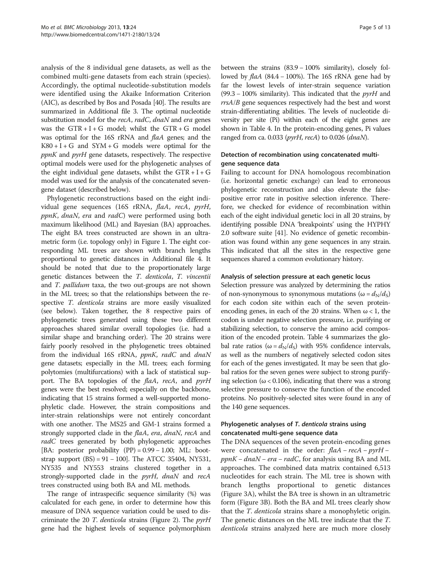analysis of the 8 individual gene datasets, as well as the combined multi-gene datasets from each strain (species). Accordingly, the optimal nucleotide-substitution models were identified using the Akaike Information Criterion (AIC), as described by Bos and Posada [\[40\]](#page-11-0). The results are summarized in Additional file [3](#page-10-0). The optimal nucleotide substitution model for the *recA*, *radC*, *dnaN* and *era* genes was the  $GTR + I + G$  model; whilst the  $GTR + G$  model was optimal for the 16S rRNA and flaA genes; and the  $K80 + I + G$  and  $SYM + G$  models were optimal for the ppnK and pyrH gene datasets, respectively. The respective optimal models were used for the phylogenetic analyses of the eight individual gene datasets, whilst the  $GTR + I + G$ model was used for the analysis of the concatenated sevengene dataset (described below).

Phylogenetic reconstructions based on the eight individual gene sequences (16S rRNA, flaA, recA, pyrH, ppnK, dnaN, era and radC) were performed using both maximum likelihood (ML) and Bayesian (BA) approaches. The eight BA trees constructed are shown in an ultrametric form (i.e. topology only) in Figure [1](#page-6-0). The eight corresponding ML trees are shown with branch lengths proportional to genetic distances in Additional file [4](#page-10-0). It should be noted that due to the proportionately large genetic distances between the T. denticola, T. vincentii and T. pallidum taxa, the two out-groups are not shown in the ML trees; so that the relationships between the respective T. denticola strains are more easily visualized (see below). Taken together, the 8 respective pairs of phylogenetic trees generated using these two different approaches shared similar overall topologies (i.e. had a similar shape and branching order). The 20 strains were fairly poorly resolved in the phylogenetic trees obtained from the individual 16S rRNA, ppnK, radC and dnaN gene datasets; especially in the ML trees; each forming polytomies (multifurcations) with a lack of statistical support. The BA topologies of the flaA, recA, and pyrH genes were the best resolved; especially on the backbone, indicating that 15 strains formed a well-supported monophyletic clade. However, the strain compositions and inter-strain relationships were not entirely concordant with one another. The MS25 and GM-1 strains formed a strongly supported clade in the flaA, era, dnaN, recA and radC trees generated by both phylogenetic approaches [BA: posterior probability  $(PP) = 0.99 - 1.00$ ; ML: bootstrap support  $(BS) = 91 - 100$ . The ATCC 35404, NY531, NY535 and NY553 strains clustered together in a strongly-supported clade in the *pyrH*, dnaN and recA trees constructed using both BA and ML methods.

The range of intraspecific sequence similarity (%) was calculated for each gene, in order to determine how this measure of DNA sequence variation could be used to discriminate the 20 T. denticola strains (Figure [2\)](#page-6-0). The pyrH gene had the highest levels of sequence polymorphism

between the strains (83.9 − 100% similarity), closely followed by flaA (84.4 − 100%). The 16S rRNA gene had by far the lowest levels of inter-strain sequence variation (99.3 – 100% similarity). This indicated that the  $pyrH$  and rrsA/B gene sequences respectively had the best and worst strain-differentiating abilities. The levels of nucleotide diversity per site (Pi) within each of the eight genes are shown in Table [4](#page-3-0). In the protein-encoding genes, Pi values ranged from ca. 0.033 ( $pyrH$ , recA) to 0.026 (dnaN).

## Detection of recombination using concatenated multigene sequence data

Failing to account for DNA homologous recombination (i.e. horizontal genetic exchange) can lead to erroneous phylogenetic reconstruction and also elevate the falsepositive error rate in positive selection inference. Therefore, we checked for evidence of recombination within each of the eight individual genetic loci in all 20 strains, by identifying possible DNA 'breakpoints' using the HYPHY 2.0 software suite [\[41](#page-11-0)]. No evidence of genetic recombination was found within any gene sequences in any strain. This indicated that all the sites in the respective gene sequences shared a common evolutionary history.

#### Analysis of selection pressure at each genetic locus

Selection pressure was analyzed by determining the ratios of non-synonymous to synonymous mutations ( $\omega = d_N/d_S$ ) for each codon site within each of the seven proteinencoding genes, in each of the 20 strains. When  $\omega < 1$ , the codon is under negative selection pressure, i.e. purifying or stabilizing selection, to conserve the amino acid composition of the encoded protein. Table [4](#page-3-0) summarizes the global rate ratios ( $\omega = d_N/d_S$ ) with 95% confidence intervals, as well as the numbers of negatively selected codon sites for each of the genes investigated. It may be seen that global ratios for the seven genes were subject to strong purifying selection ( $\omega$  < 0.106), indicating that there was a strong selective pressure to conserve the function of the encoded proteins. No positively-selected sites were found in any of the 140 gene sequences.

## Phylogenetic analyses of T. denticola strains using concatenated multi-gene sequence data

The DNA sequences of the seven protein-encoding genes were concatenated in the order:  $flaA - recA - pyrH$  $ppnK - dnaN - era - radC$ , for analysis using BA and ML approaches. The combined data matrix contained 6,513 nucleotides for each strain. The ML tree is shown with branch lengths proportional to genetic distances (Figure [3](#page-7-0)A), whilst the BA tree is shown in an ultrametric form (Figure [3B](#page-7-0)). Both the BA and ML trees clearly show that the *T. denticola* strains share a monophyletic origin. The genetic distances on the ML tree indicate that the T. denticola strains analyzed here are much more closely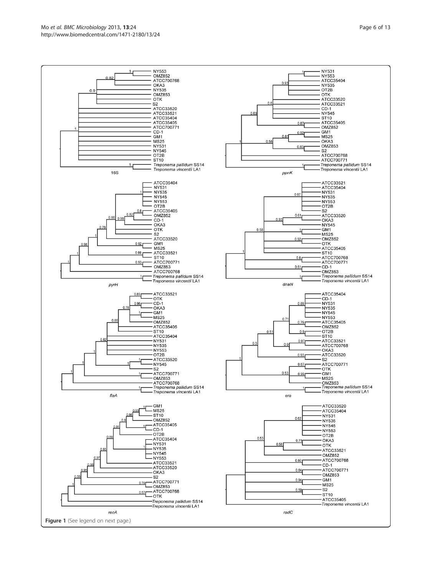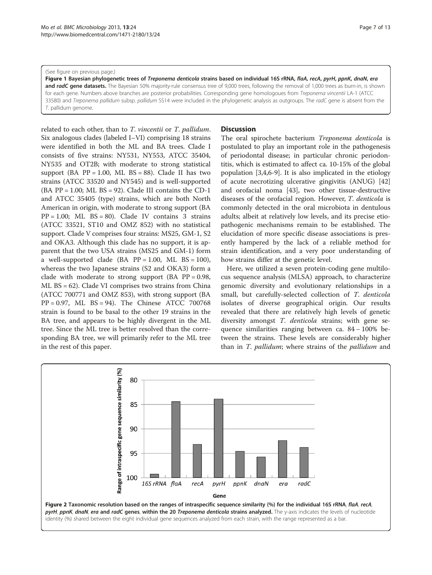#### <span id="page-6-0"></span>(See figure on previous page.)

Figure 1 Bayesian phylogenetic trees of Treponema denticola strains based on individual 16S rRNA, flaA, recA, pyrH, ppnK, dnaN, era and radC gene datasets. The Bayesian 50% majority-rule consensus tree of 9,000 trees, following the removal of 1,000 trees as burn-in, is shown for each gene. Numbers above branches are posterior probabilities. Corresponding gene homologoues from Treponema vincentii LA-1 (ATCC 33580) and Treponema pallidum subsp. pallidum SS14 were included in the phylogenetic analysis as outgroups. The radC gene is absent from the T. pallidum genome.

related to each other, than to T. vincentii or T. pallidum. Six analogous clades (labeled I–VI) comprising 18 strains were identified in both the ML and BA trees. Clade I consists of five strains: NY531, NY553, ATCC 35404, NY535 and OT2B; with moderate to strong statistical support (BA  $PP = 1.00$ , ML  $BS = 88$ ). Clade II has two strains (ATCC 33520 and NY545) and is well-supported  $(BA PP = 1.00; ML BS = 92)$ . Clade III contains the CD-1 and ATCC 35405 (type) strains, which are both North American in origin, with moderate to strong support (BA  $PP = 1.00$ ; ML  $BS = 80$ ). Clade IV contains 3 strains (ATCC 33521, ST10 and OMZ 852) with no statistical support. Clade V comprises four strains: MS25, GM-1, S2 and OKA3. Although this clade has no support, it is apparent that the two USA strains (MS25 and GM-1) form a well-supported clade (BA  $PP = 1.00$ , ML  $BS = 100$ ), whereas the two Japanese strains (S2 and OKA3) form a clade with moderate to strong support  $(BA \text{ PP} = 0.98,$ ML BS = 62). Clade VI comprises two strains from China (ATCC 700771 and OMZ 853), with strong support (BA PP = 0.97, ML BS = 94). The Chinese ATCC 700768 strain is found to be basal to the other 19 strains in the BA tree, and appears to be highly divergent in the ML tree. Since the ML tree is better resolved than the corresponding BA tree, we will primarily refer to the ML tree in the rest of this paper.

#### **Discussion**

The oral spirochete bacterium *Treponema denticola* is postulated to play an important role in the pathogenesis of periodontal disease; in particular chronic periodontitis, which is estimated to affect ca. 10-15% of the global population [[3,4,](#page-10-0)[6-9](#page-11-0)]. It is also implicated in the etiology of acute necrotizing ulcerative gingivitis (ANUG) [[42](#page-11-0)] and orofacial noma [\[43](#page-11-0)], two other tissue-destructive diseases of the orofacial region. However, T. denticola is commonly detected in the oral microbiota in dentulous adults; albeit at relatively low levels, and its precise etiopathogenic mechanisms remain to be established. The elucidation of more specific disease associations is presently hampered by the lack of a reliable method for strain identification, and a very poor understanding of how strains differ at the genetic level.

Here, we utilized a seven protein-coding gene multilocus sequence analysis (MLSA) approach, to characterize genomic diversity and evolutionary relationships in a small, but carefully-selected collection of T. denticola isolates of diverse geographical origin. Our results revealed that there are relatively high levels of genetic diversity amongst T. denticola strains; with gene sequence similarities ranging between ca. 84 − 100% between the strains. These levels are considerably higher than in T. *pallidum*; where strains of the *pallidum* and

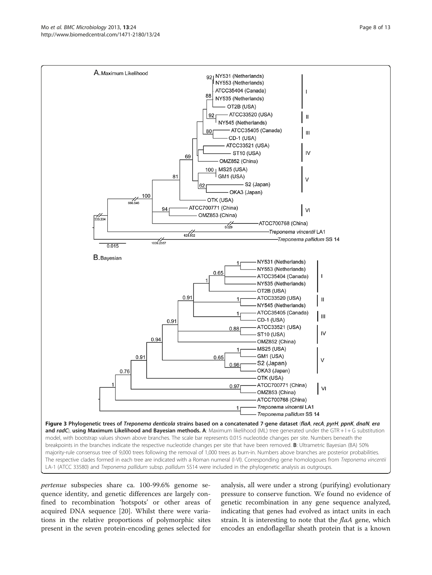<span id="page-7-0"></span>

pertenue subspecies share ca. 100-99.6% genome sequence identity, and genetic differences are largely confined to recombination 'hotspots' or other areas of acquired DNA sequence [\[20\]](#page-11-0). Whilst there were variations in the relative proportions of polymorphic sites present in the seven protein-encoding genes selected for

analysis, all were under a strong (purifying) evolutionary pressure to conserve function. We found no evidence of genetic recombination in any gene sequence analyzed, indicating that genes had evolved as intact units in each strain. It is interesting to note that the  $faA$  gene, which encodes an endoflagellar sheath protein that is a known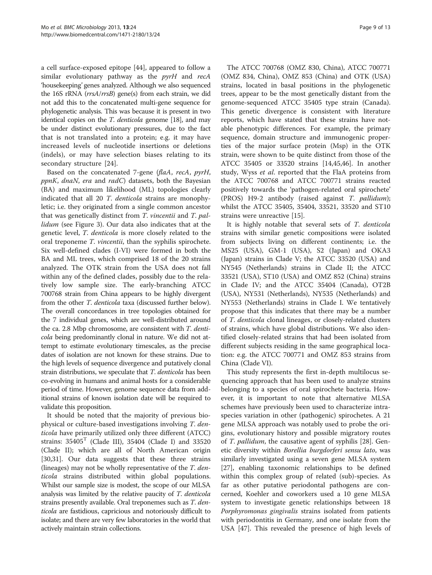a cell surface-exposed epitope [\[44](#page-11-0)], appeared to follow a similar evolutionary pathway as the pyrH and recA 'housekeeping' genes analyzed. Although we also sequenced the 16S rRNA (rrsA/rrsB) gene(s) from each strain, we did not add this to the concatenated multi-gene sequence for phylogenetic analysis. This was because it is present in two identical copies on the *T. denticola* genome [\[18\]](#page-11-0), and may be under distinct evolutionary pressures, due to the fact that is not translated into a protein; e.g. it may have increased levels of nucleotide insertions or deletions (indels), or may have selection biases relating to its secondary structure [\[24](#page-11-0)].

Based on the concatenated 7-gene (flaA, recA, pyrH,  $ppnK$ , dnaN, era and radC) datasets, both the Bayesian (BA) and maximum likelihood (ML) topologies clearly indicated that all 20 T. denticola strains are monophyletic; i.e. they originated from a single common ancestor that was genetically distinct from T. vincentii and T. pallidum (see Figure [3](#page-7-0)). Our data also indicates that at the genetic level, T. denticola is more closely related to the oral treponeme T. vincentii, than the syphilis spirochete. Six well-defined clades (I-VI) were formed in both the BA and ML trees, which comprised 18 of the 20 strains analyzed. The OTK strain from the USA does not fall within any of the defined clades, possibly due to the relatively low sample size. The early-branching ATCC 700768 strain from China appears to be highly divergent from the other T. denticola taxa (discussed further below). The overall concordances in tree topologies obtained for the 7 individual genes, which are well-distributed around the ca. 2.8 Mbp chromosome, are consistent with T. denticola being predominantly clonal in nature. We did not attempt to estimate evolutionary timescales, as the precise dates of isolation are not known for these strains. Due to the high levels of sequence divergence and putatively clonal strain distributions, we speculate that T. denticola has been co-evolving in humans and animal hosts for a considerable period of time. However, genome sequence data from additional strains of known isolation date will be required to validate this proposition.

It should be noted that the majority of previous biophysical or culture-based investigations involving T. denticola have primarily utilized only three different (ATCC) strains:  $35405<sup>T</sup>$  (Clade III),  $35404$  (Clade I) and  $33520$ (Clade II); which are all of North American origin [[30,31\]](#page-11-0). Our data suggests that these three strains (lineages) may not be wholly representative of the T. denticola strains distributed within global populations. Whilst our sample size is modest, the scope of our MLSA analysis was limited by the relative paucity of T. denticola strains presently available. Oral treponemes such as T. denticola are fastidious, capricious and notoriously difficult to isolate; and there are very few laboratories in the world that actively maintain strain collections.

The ATCC 700768 (OMZ 830, China), ATCC 700771 (OMZ 834, China), OMZ 853 (China) and OTK (USA) strains, located in basal positions in the phylogenetic trees, appear to be the most genetically distant from the genome-sequenced ATCC 35405 type strain (Canada). This genetic divergence is consistent with literature reports, which have stated that these strains have notable phenotypic differences. For example, the primary sequence, domain structure and immunogenic properties of the major surface protein (Msp) in the OTK strain, were shown to be quite distinct from those of the ATCC 35405 or 33520 strains [[14,45](#page-11-0),[46](#page-11-0)]. In another study, Wyss et al. reported that the FlaA proteins from the ATCC 700768 and ATCC 700771 strains reacted positively towards the 'pathogen-related oral spirochete' (PROS) H9-2 antibody (raised against T. pallidum); whilst the ATCC 35405, 35404, 33521, 33520 and ST10 strains were unreactive [\[15\]](#page-11-0).

It is highly notable that several sets of T. denticola strains with similar genetic compositions were isolated from subjects living on different continents; i.e. the MS25 (USA), GM-1 (USA), S2 (Japan) and OKA3 (Japan) strains in Clade V; the ATCC 33520 (USA) and NY545 (Netherlands) strains in Clade II; the ATCC 33521 (USA), ST10 (USA) and OMZ 852 (China) strains in Clade IV; and the ATCC 35404 (Canada), OT2B (USA), NY531 (Netherlands), NY535 (Netherlands) and NY553 (Netherlands) strains in Clade I. We tentatively propose that this indicates that there may be a number of T. denticola clonal lineages, or closely-related clusters of strains, which have global distributions. We also identified closely-related strains that had been isolated from different subjects residing in the same geographical location: e.g. the ATCC 700771 and OMZ 853 strains from China (Clade VI).

This study represents the first in-depth multilocus sequencing approach that has been used to analyze strains belonging to a species of oral spirochete bacteria. However, it is important to note that alternative MLSA schemes have previously been used to characterize intraspecies variation in other (pathogenic) spirochetes. A 21 gene MLSA approach was notably used to probe the origins, evolutionary history and possible migratory routes of T. pallidum, the causative agent of syphilis [[28](#page-11-0)]. Genetic diversity within Borellia burgdorferi sensu lato, was similarly investigated using a seven gene MLSA system [[27\]](#page-11-0), enabling taxonomic relationships to be defined within this complex group of related (sub)-species. As far as other putative periodontal pathogens are concerned, Koehler and coworkers used a 10 gene MLSA system to investigate genetic relationships between 18 Porphyromonas gingivalis strains isolated from patients with periodontitis in Germany, and one isolate from the USA [\[47](#page-11-0)]. This revealed the presence of high levels of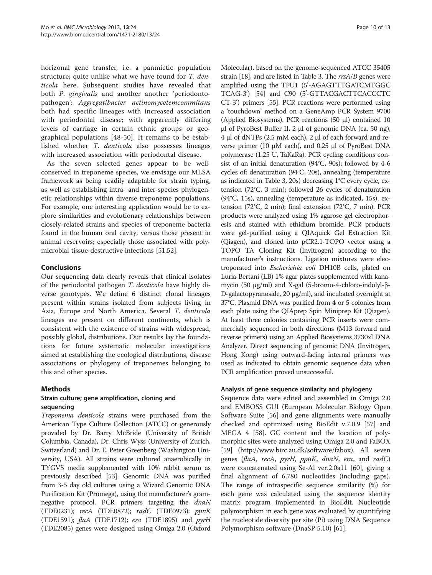horizonal gene transfer, i.e. a panmictic population structure; quite unlike what we have found for T. denticola here. Subsequent studies have revealed that both *P. gingivalis* and another another 'periodontopathogen': Aggregatibacter actinomycetemcommitans both had specific lineages with increased association with periodontal disease; with apparently differing levels of carriage in certain ethnic groups or geographical populations [\[48-50](#page-11-0)]. It remains to be established whether T. denticola also possesses lineages with increased association with periodontal disease.

As the seven selected genes appear to be wellconserved in treponeme species, we envisage our MLSA framework as being readily adaptable for strain typing, as well as establishing intra- and inter-species phylogenetic relationships within diverse treponeme populations. For example, one interesting application would be to explore similarities and evolutionary relationships between closely-related strains and species of treponeme bacteria found in the human oral cavity, versus those present in animal reservoirs; especially those associated with polymicrobial tissue-destructive infections [\[51,52\]](#page-11-0).

## Conclusions

Our sequencing data clearly reveals that clinical isolates of the periodontal pathogen T. denticola have highly diverse genotypes. We define 6 distinct clonal lineages present within strains isolated from subjects living in Asia, Europe and North America. Several T. denticola lineages are present on different continents, which is consistent with the existence of strains with widespread, possibly global, distributions. Our results lay the foundations for future systematic molecular investigations aimed at establishing the ecological distributions, disease associations or phylogeny of treponemes belonging to this and other species.

## Methods

#### Strain culture; gene amplification, cloning and sequencing

Treponema denticola strains were purchased from the American Type Culture Collection (ATCC) or generously provided by Dr. Barry McBride (University of British Columbia, Canada), Dr. Chris Wyss (University of Zurich, Switzerland) and Dr. E. Peter Greenberg (Washington University, USA). All strains were cultured anaerobically in TYGVS media supplemented with 10% rabbit serum as previously described [\[53\]](#page-11-0). Genomic DNA was purified from 3-5 day old cultures using a Wizard Genomic DNA Purification Kit (Promega), using the manufacturer's gramnegative protocol. PCR primers targeting the *dnaN* (TDE0231); recA (TDE0872); radC (TDE0973); ppnK (TDE1591); flaA (TDE1712); era (TDE1895) and pyrH (TDE2085) genes were designed using Omiga 2.0 (Oxford

Molecular), based on the genome-sequenced ATCC 35405 strain [\[18\]](#page-11-0), and are listed in Table [3.](#page-3-0) The  $rrsA/B$  genes were amplified using the TPU1 (5'-AGAGTTTGATCMTGGC TCAG-3<sup>'</sup>) [\[54\]](#page-12-0) and C90 (5'-GTTACGACTTCACCCTC CT-3') primers [\[55\]](#page-12-0). PCR reactions were performed using a 'touchdown' method on a GeneAmp PCR System 9700 (Applied Biosystems). PCR reactions (50 μl) contained 10 μl of PyroBest Buffer II, 2 μl of genomic DNA (ca. 50 ng), 4 μl of dNTPs (2.5 mM each), 2 μl of each forward and reverse primer (10 μM each), and 0.25 μl of PyroBest DNA polymerase (1.25 U, TaKaRa). PCR cycling conditions consist of an initial denaturation (94°C, 90s); followed by 4-6 cycles of: denaturation (94°C, 20s), annealing (temperature as indicated in Table [3,](#page-3-0) 20s) decreasing 1°C every cycle, extension (72°C, 3 min); followed 26 cycles of denaturation (94°C, 15s), annealing (temperature as indicated, 15s), extension (72°C, 2 min); final extension (72°C, 7 min). PCR products were analyzed using 1% agarose gel electrophoresis and stained with ethidium bromide. PCR products were gel-purified using a QIAquick Gel Extraction Kit (Qiagen), and cloned into pCR2.1-TOPO vector using a TOPO TA Cloning Kit (Invitrogen) according to the manufacturer's instructions. Ligation mixtures were electroporated into Escherichia coli DH10B cells, plated on Luria-Bertani (LB) 1% agar plates supplemented with kanamycin (50 μg/ml) and X-gal (5-bromo-4-chloro-indolyl-β-D-galactopyranoside, 20 μg/ml), and incubated overnight at 37°C. Plasmid DNA was purified from 4 or 5 colonies from each plate using the QIAprep Spin Miniprep Kit (Qiagen). At least three colonies containing PCR inserts were commercially sequenced in both directions (M13 forward and reverse primers) using an Applied Biosystems 3730xl DNA Analyzer. Direct sequencing of genomic DNA (Invitrogen, Hong Kong) using outward-facing internal primers was used as indicated to obtain genomic sequence data when PCR amplification proved unsuccessful.

#### Analysis of gene sequence similarity and phylogeny

Sequence data were edited and assembled in Omiga 2.0 and EMBOSS GUI (European Molecular Biology Open Software Suite [\[56](#page-12-0)] and gene alignments were manually checked and optimized using BioEdit v.7.0.9 [\[57](#page-12-0)] and MEGA 4 [\[58\]](#page-12-0). GC content and the location of polymorphic sites were analyzed using Omiga 2.0 and FaBOX [[59\]](#page-12-0) [\(http://www.birc.au.dk/software/fabox\)](http://www.birc.au.dk/software/fabox). All seven genes (flaA, recA, pyrH, ppnK, dnaN, era, and radC) were concatenated using Se-Al ver.2.0a11 [[60](#page-12-0)], giving a final alignment of 6,780 nucleotides (including gaps). The range of intraspecific sequence similarity (%) for each gene was calculated using the sequence identity matrix program implemented in BioEdit. Nucleotide polymorphism in each gene was evaluated by quantifying the nucleotide diversity per site (Pi) using DNA Sequence Polymorphism software (DnaSP 5.10) [\[61\]](#page-12-0).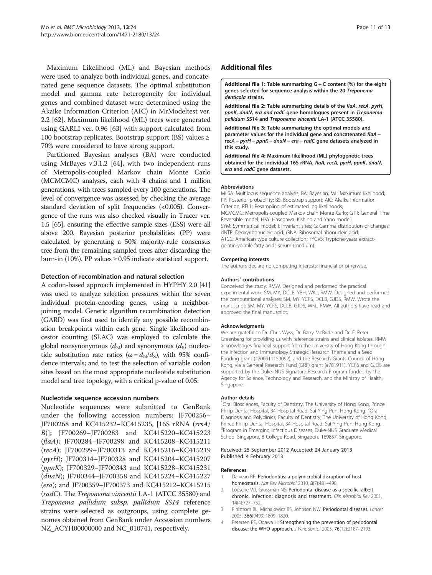<span id="page-10-0"></span>Maximum Likelihood (ML) and Bayesian methods were used to analyze both individual genes, and concatenated gene sequence datasets. The optimal substitution model and gamma rate heterogeneity for individual genes and combined dataset were determined using the Akaike Information Criterion (AIC) in MrModeltest ver. 2.2 [[62\]](#page-12-0). Maximum likelihood (ML) trees were generated using GARLI ver. 0.96 [[63\]](#page-12-0) with support calculated from 100 bootstrap replicates. Bootstrap support (BS) values  $\ge$ 70% were considered to have strong support.

Partitioned Bayesian analyses (BA) were conducted using MrBayes v.3.1.2 [\[64\]](#page-12-0), with two independent runs of Metropolis-coupled Markov chain Monte Carlo (MCMCMC) analyses, each with 4 chains and 1 million generations, with trees sampled every 100 generations. The level of convergence was assessed by checking the average standard deviation of split frequencies (<0.005). Convergence of the runs was also checked visually in Tracer ver. 1.5 [[65](#page-12-0)], ensuring the effective sample sizes (ESS) were all above 200. Bayesian posterior probabilities (PP) were calculated by generating a 50% majority-rule consensus tree from the remaining sampled trees after discarding the burn-in (10%). PP values  $\geq$  0.95 indicate statistical support.

#### Detection of recombination and natural selection

A codon-based approach implemented in HYPHY 2.0 [\[41](#page-11-0)] was used to analyze selection pressures within the seven individual protein-encoding genes, using a neighborjoining model. Genetic algorithm recombination detection (GARD) was first used to identify any possible recombination breakpoints within each gene. Single likelihood ancestor counting (SLAC) was employed to calculate the global nonsynonymous  $(d_N)$  and synonymous  $(d_S)$  nucleotide substitution rate ratios ( $\omega = d_N/d_S$ ), with 95% confidence intervals; and to test the selection of variable codon sites based on the most appropriate nucleotide substitution model and tree topology, with a critical p-value of 0.05.

#### Nucleotide sequence accession numbers

Nucleotide sequences were submitted to GenBank under the following accession numbers: JF700256– JF700268 and KC415232−KC415235, [16S rRNA (rrsA/ B)]; JF700269–JF700283 and KC415220−KC415223 (flaA); JF700284–JF700298 and KC415208−KC415211 (recA); JF700299–JF700313 and KC415216−KC415219 (pyrH); JF700314–JF700328 and KC415204−KC415207 (ppnK); JF700329–JF700343 and KC415228−KC415231 (dnaN); JF700344–JF700358 and KC415224−KC415227 (era); and JF700359–JF700373 and KC415212−KC415215 (radC). The Treponema vincentii LA-1 (ATCC 35580) and Treponema pallidum subsp. pallidum SS14 reference strains were selected as outgroups, using complete genomes obtained from GenBank under Accession numbers NZ\_ACYH00000000 and NC\_010741, respectively.

## Additional files

[Additional file 1:](http://www.biomedcentral.com/content/supplementary/1471-2180-13-24-S1.pdf) Table summarizing  $G + C$  content (%) for the eight genes selected for sequence analysis within the 20 Treponema denticola strains.

[Additional file 2:](http://www.biomedcentral.com/content/supplementary/1471-2180-13-24-S2.pdf) Table summarizing details of the flaA, recA, pyrH, ppnK, dnaN, era and radC gene homologues present in Treponema pallidum SS14 and Treponema vincentii LA-1 (ATCC 35580).

[Additional file 3:](http://www.biomedcentral.com/content/supplementary/1471-2180-13-24-S3.pdf) Table summarizing the optimal models and parameter values for the individual gene and concatenated flaA − recA – pyrH – ppnK – dnaN – era – radC gene datasets analyzed in this study.

[Additional file 4:](http://www.biomedcentral.com/content/supplementary/1471-2180-13-24-S4.pdf) Maximum likelihood (ML) phylogenetic trees obtained for the individual 16S rRNA, flaA, recA, pyrH, ppnK, dnaN, era and radC gene datasets.

#### **Abbreviations**

MLSA: Multilocus sequence analysis; BA: Bayesian; ML: Maximum likelihood; PP: Posterior probability; BS: Bootstrap support; AIC: Akaike Information Criterion; RELL: Resampling of estimated log likelihoods; MCMCMC: Metropolis-coupled Markov chain Monte Carlo; GTR: General Time Reversible model; HKY: Hasegawa, Kishino and Yano model; SYM: Symmetrical model; I: Invariant sites; G: Gamma distribution of changes; dNTP: Deoxyribonucleic acid; rRNA: Ribosomal ribonucleic acid; ATCC: American type culture collection; TYGVS: Tryptone-yeast extractgelatin-volatile fatty acids-serum (medium).

#### Competing interests

The authors declare no competing interests; financial or otherwise.

#### Authors' contributions

Conceived the study: RMW. Designed and performed the practical experimental work: SM, MY, DCLB, YBH, WKL, RMW. Designed and performed the computational analyses: SM, MY, YCFS, DCLB, GJDS, RMW. Wrote the manuscript: SM, MY, YCFS, DCLB, GJDS, WKL, RMW. All authors have read and approved the final manuscript.

#### Acknowledgments

We are grateful to Dr. Chris Wyss, Dr. Barry McBride and Dr. E. Peter Greenberg for providing us with reference strains and clinical isolates. RMW acknowledges financial support from the University of Hong Kong through the Infection and Immunology Strategic Research Theme and a Seed Funding grant (#200911159092); and the Research Grants Council of Hong Kong, via a General Research Fund (GRF) grant (#781911). YCFS and GJDS are supported by the Duke–NUS Signature Research Program funded by the Agency for Science, Technology and Research, and the Ministry of Health, Singapore.

#### Author details

<sup>1</sup>Oral Biosciences, Faculty of Dentistry, The University of Hong Kong, Prince Philip Dental Hospital, 34 Hospital Road, Sai Ying Pun, Hong Kong. <sup>2</sup>Oral Diagnosis and Polyclinics, Faculty of Dentistry, The University of Hong Kong, Prince Philip Dental Hospital, 34 Hospital Road, Sai Ying Pun, Hong Kong. <sup>3</sup>Program in Emerging Infectious Diseases, Duke-NUS Graduate Medical School Singapore, 8 College Road, Singapore 169857, Singapore.

#### Received: 25 September 2012 Accepted: 24 January 2013 Published: 4 February 2013

#### References

- 1. Darveau RP: Periodontitis: a polymicrobial disruption of host homeostasis. Nat Rev Microbiol 2010, 8(7):481-490.
- Loesche WJ, Grossman NS: Periodontal disease as a specific, albeit chronic, infection: diagnosis and treatment. Clin Microbiol Rev 2001, 14(4):727–752.
- 3. Pihlstrom BL, Michalowicz BS, Johnson NW: Periodontal diseases. Lancet 2005, 366(9499):1809–1820.
- 4. Petersen PE, Ogawa H: Strengthening the prevention of periodontal disease: the WHO approach. J Periodontol 2005, 76(12):2187–2193.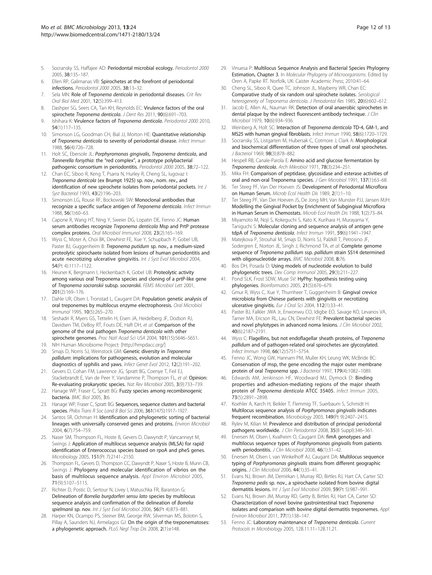- <span id="page-11-0"></span>5. Socransky SS, Haffajee AD: Periodontal microbial ecology. Periodontol 2000 2005, 38:135–187.
- 6. Ellen RP, Galimanas VB: Spirochetes at the forefront of periodontal infections. Periodontol 2000 2005, 38:13–32.
- 7. Sela MN: Role of Treponema denticola in periodontal diseases. Crit Rev Oral Biol Med 2001, 12(5):399–413.
- 8. Dashper SG, Seers CA, Tan KH, Reynolds EC: Virulence factors of the oral spirochete Treponema denticola. J Dent Res 2011, 90(6):691-703.
- 9. Ishihara K: Virulence factors of Treponema denticola. Periodontol 2000 2010. 54(1):117–135.
- 10. Simonson LG, Goodman CH, Bial JJ, Morton HE: Quantitative relationship of Treponema denticola to severity of periodontal disease. Infect Immun 1988, 56(4):726–728.
- 11. Holt SC, Ebersole JL: Porphyromonas gingivalis, Treponema denticola, and Tannerella forsythia: the "red complex", a prototype polybacterial pathogenic consortium in periodontitis. Periodontol 2000 2005, 38:72–122.
- 12. Chan EC, Siboo R, Keng T, Psarra N, Hurley R, Cheng SL, Iugovaz I: Treponema denticola (ex Brumpt 1925) sp. nov., nom. rev., and identification of new spirochete isolates from periodontal pockets. Int J Syst Bacteriol 1993, 43(2):196–203.
- 13. Simonson LG, Rouse RF, Bockowski SW: Monoclonal antibodies that recognize a specific surface antigen of Treponema denticola. Infect Immun 1988, 56(1):60–63.
- 14. Capone R, Wang HT, Ning Y, Sweier DG, Lopatin DE, Fenno JC: Human serum antibodies recognize Treponema denticola Msp and PrtP protease complex proteins. Oral Microbiol Immunol 2008, 23(2):165–169.
- 15. Wyss C, Moter A, Choi BK, Dewhirst FE, Xue Y, Schupbach P, Gobel UB, Paster BJ, Guggenheim B: Treponema putidum sp. nov., a medium-sized proteolytic spirochaete isolated from lesions of human periodontitis and acute necrotizing ulcerative gingivitis. Int J Syst Evol Microbiol 2004, 54(Pt 4):1117–1122.
- 16. Heuner K, Bergmann I, Heckenbach K, Gobel UB: Proteolytic activity among various oral Treponema species and cloning of a prtP-like gene of Treponema socranskii subsp. socranskii. FEMS Microbiol Lett 2001, 201(2):169–176.
- 17. Dahle UR, Olsen I, Tronstad L, Caugant DA: Population genetic analysis of oral treponemes by multilocus enzyme electrophoresis. Oral Microbiol Immunol 1995, 10(5):265–270.
- 18. Seshadri R, Myers GS, Tettelin H, Eisen JA, Heidelberg JF, Dodson RJ, Davidsen TM, DeBoy RT, Fouts DE, Haft DH, et al: Comparison of the genome of the oral pathogen Treponema denticola with other spirochete genomes. Proc Natl Acad Sci USA 2004, 101(15):5646–5651.
- 19. NIH Human Microbiome Project: [[http://hmpdacc.org/\]](http://hmpdacc.org/)
- 20. Smajs D, Norris SJ, Weinstock GM: Genetic diversity in Treponema pallidum: implications for pathogenesis, evolution and molecular diagnostics of syphilis and yaws. Infect Genet Evol 2012, 12(2):191–202.
- 21. Gevers D, Cohan FM, Lawrence JG, Spratt BG, Coenye T, Feil EJ, Stackebrandt E, Van de Peer Y, Vandamme P, Thompson FL, et al: Opinion: Re-evaluating prokaryotic species. Nat Rev Microbiol 2005, 3(9):733–739.
- 22. Hanage WP, Fraser C, Spratt BG: Fuzzy species among recombinogenic bacteria. BMC Biol 2005, 3:6.
- 23. Hanage WP, Fraser C, Spratt BG: Sequences, sequence clusters and bacterial species. Philos Trans R Soc Lond B Biol Sci 2006, 361(1475):1917–1927.
- 24. Santos SR, Ochman H: Identification and phylogenetic sorting of bacterial lineages with universally conserved genes and proteins. Environ Microbiol 2004, 6(7):754–759.
- 25. Naser SM, Thompson FL, Hoste B, Gevers D, Dawyndt P, Vancanneyt M, Swings J: Application of multilocus sequence analysis (MLSA) for rapid identification of Enterococcus species based on rpoA and pheS genes. Microbiology 2005, 151(Pt 7):2141–2150.
- 26. Thompson FL, Gevers D, Thompson CC, Dawyndt P, Naser S, Hoste B, Munn CB, Swings J: Phylogeny and molecular identification of vibrios on the basis of multilocus sequence analysis. Appl Environ Microbiol 2005, 71(9):5107–5115.
- 27. Richter D, Postic D, Sertour N, Livey I, Matuschka FR, Baranton G: Delineation of Borrelia burgdorferi sensu lato species by multilocus sequence analysis and confirmation of the delineation of Borrelia spielmanii sp. nov. Int J Syst Evol Microbiol 2006, 56(Pt 4):873-881.
- 28. Harper KN, Ocampo PS, Steiner BM, George RW, Silverman MS, Bolotin S, Pillay A, Saunders NJ, Armelagos GJ: On the origin of the treponematoses: a phylogenetic approach. PLoS Negl Trop Dis 2008, 2(1):e148.
- 29. Vinuesa P: Multilocus Sequence Analysis and Bacterial Species Phylogeny Estimation, Chapter 3. In Molecular Phylogeny of Microorganisms. Edited by Oren A, Papke RT. Norfolk, UK: Caister Academic Press; 2010:41–64.
- 30. Cheng SL, Siboo R, Quee TC, Johnson JL, Mayberry WR, Chan EC: Comparative study of six random oral spirochete isolates. Serological heterogeneity of Treponema denticola. J Periodontal Res 1985, 20(6):602–612.
- 31. Jacob E, Allen AL, Nauman RK: Detection of oral anaerobic spirochetes in dental plaque by the indirect fluorescent-antibody technique. J Clin Microbiol 1979, 10(6):934–936.
- 32. Weinberg A, Holt SC: Interaction of Treponema denticola TD-4, GM-1, and MS25 with human gingival fibroblasts. Infect Immun 1990, 58(6):1720–1729.
- 33. Socransky SS, Listgarten M, Hubersak C, Cotmore J, Clark A: Morphological and biochemical differentiation of three types of small oral spirochetes. J Bacteriol 1969, 98(3):878–882.
- 34. Hespell RB, Canale-Parola E: Amino acid and glucose fermentation by Treponema denticola. Arch Mikrobiol 1971, 78(3):234–251.
- 35. Mikx FH: Comparison of peptidase, glycosidase and esterase activities of oral and non-oral Treponema species. J Gen Microbiol 1991, 137(1):63-68.
- 36. Ter Steeg PF, Van Der Hoeven JS: Development of Periodontal Microflora on Human Serum. Microb Ecol Health Dis 1989, 2(1):1–10.
- 37. Ter Steeg PF, Van Der Hoeven JS, De Jong MH, Van Munster PJJ, Jansen MJH: Modelling the Gingival Pocket by Enrichment of Subgingival Microflora in Human Serum in Chemostats. Microb Ecol Health Dis 1988, 1(2):73–84.
- 38. Miyamoto M, Noji S, Kokeguchi S, Kato K, Kurihara H, Murayama Y, Taniguchi S: Molecular cloning and sequence analysis of antigen gene tdpA of Treponema denticola. Infect Immun 1991, 59(6):1941–1947.
- 39. Matejkova P, Strouhal M, Smajs D, Norris SJ, Palzkill T, Petrosino JF, Sodergren E, Norton JE, Singh J, Richmond TA, et al: Complete genome sequence of Treponema pallidum ssp. pallidum strain SS14 determined with oligonucleotide arrays. BMC Microbiol 2008, 8:76.
- 40. Bos DH, Posada D: Using models of nucleotide evolution to build phylogenetic trees. Dev Comp Immunol 2005, 29(3):211–227.
- 41. Pond SLK, Frost SDW, Muse SV: HyPhy: hypothesis testing using phylogenies. Bioinformatics 2005, 21(5):676–679.
- 42. Gmur R, Wyss C, Xue Y, Thurnheer T, Guggenheim B: Gingival crevice microbiota from Chinese patients with gingivitis or necrotizing ulcerative gingivitis. Eur J Oral Sci 2004, 112(1):33–41.
- 43. Paster BJ, Falkler JWA Jr, Enwonwu CO, Idigbe EO, Savage KO, Levanos VA, Tamer MA, Ericson RL, Lau CN, Dewhirst FE: Prevalent bacterial species and novel phylotypes in advanced noma lesions. J Clin Microbiol 2002, 40(6):2187–2191.
- 44. Wyss C: Flagellins, but not endoflagellar sheath proteins, of Treponema pallidum and of pathogen-related oral spirochetes are glycosylated. Infect Immun 1998, 66(12):5751–5754.
- 45. Fenno JC, Wong GW, Hannam PM, Muller KH, Leung WK, McBride BC: Conservation of msp, the gene encoding the major outer membrane protein of oral Treponema spp. J Bacteriol 1997, 179(4):1082-1089.
- Edwards AM, Jenkinson HF, Woodward MJ, Dymock D: Binding properties and adhesion-mediating regions of the major sheath protein of Treponema denticola ATCC 35405. Infect Immun 2005, 73(5):2891–2898.
- 47. Koehler A, Karch H, Beikler T, Flemmig TF, Suerbaum S, Schmidt H: Multilocus sequence analysis of Porphyromonas gingivalis indicates frequent recombination. Microbiology 2003, 149(Pt 9):2407–2415.
- 48. Rylev M, Kilian M: Prevalence and distribution of principal periodontal pathogens worldwide. J Clin Periodontol 2008, 35(8 Suppl):346-361.
- 49. Enersen M, Olsen I, Kvalheim O, Caugant DA: fimA genotypes and multilocus sequence types of Porphyromonas gingivalis from patients with periodontitis. J Clin Microbiol 2008, 46(1):31-42.
- 50. Enersen M, Olsen I, van Winkelhoff AJ, Caugant DA: Multilocus sequence typing of Porphyromonas gingivalis strains from different geographic origins. J Clin Microbiol 2006, 44(1):35–41.
- 51. Evans NJ, Brown JM, Demirkan I, Murray RD, Birtles RJ, Hart CA, Carter SD: Treponema pedis sp. nov., a spirochaete isolated from bovine digital dermatitis lesions. Int J Syst Evol Microbiol 2009, 59(Pt 5):987–991.
- 52. Evans NJ, Brown JM, Murray RD, Getty B, Birtles RJ, Hart CA, Carter SD: Characterization of novel bovine gastrointestinal tract Treponema isolates and comparison with bovine digital dermatitis treponemes. Appl Environ Microbiol 2011, 77(1):138–147.
- 53. Fenno JC: Laboratory maintenance of Treponema denticola. Current Protocols in Microbiology 2005, 12B.11.11–12B.11.21.